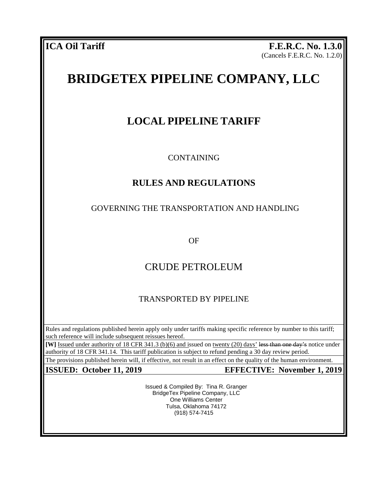**ICA Oil Tariff F.E.R.C. No. 1.3.0** (Cancels F.E.R.C. No. 1.2.0)

# **BRIDGETEX PIPELINE COMPANY, LLC**

## **LOCAL PIPELINE TARIFF**

CONTAINING

## **RULES AND REGULATIONS**

## GOVERNING THE TRANSPORTATION AND HANDLING

OF

## CRUDE PETROLEUM

## TRANSPORTED BY PIPELINE

Rules and regulations published herein apply only under tariffs making specific reference by number to this tariff; such reference will include subsequent reissues hereof.

**[W]** Issued under authority of 18 CFR 341.3 (b)(6) and issued on twenty (20) days' less than one day's notice under authority of 18 CFR 341.14. This tariff publication is subject to refund pending a 30 day review period.

The provisions published herein will, if effective, not result in an effect on the quality of the human environment.

**ISSUED: October 11, 2019 EFFECTIVE: November 1, 2019**

Issued & Compiled By: Tina R. Granger BridgeTex Pipeline Company, LLC One Williams Center Tulsa, Oklahoma 74172 (918) 574-7415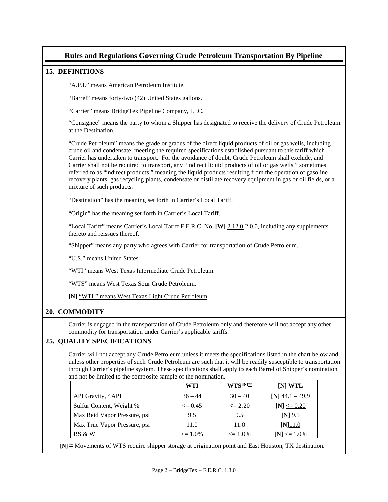### **Rules and Regulations Governing Crude Petroleum Transportation By Pipeline**

#### **15. DEFINITIONS**

"A.P.I." means American Petroleum Institute.

"Barrel" means forty-two (42) United States gallons.

"Carrier" means BridgeTex Pipeline Company, LLC.

"Consignee" means the party to whom a Shipper has designated to receive the delivery of Crude Petroleum at the Destination.

"Crude Petroleum" means the grade or grades of the direct liquid products of oil or gas wells, including crude oil and condensate, meeting the required specifications established pursuant to this tariff which Carrier has undertaken to transport. For the avoidance of doubt, Crude Petroleum shall exclude, and Carrier shall not be required to transport, any "indirect liquid products of oil or gas wells," sometimes referred to as "indirect products," meaning the liquid products resulting from the operation of gasoline recovery plants, gas recycling plants, condensate or distillate recovery equipment in gas or oil fields, or a mixture of such products.

"Destination" has the meaning set forth in Carrier's Local Tariff.

"Origin" has the meaning set forth in Carrier's Local Tariff.

"Local Tariff" means Carrier's Local Tariff F.E.R.C. No. **[W]** 2.12.0 2.0.0, including any supplements thereto and reissues thereof.

"Shipper" means any party who agrees with Carrier for transportation of Crude Petroleum.

"U.S." means United States.

"WTI" means West Texas Intermediate Crude Petroleum.

"WTS" means West Texas Sour Crude Petroleum.

**[N]** "WTL" means West Texas Light Crude Petroleum.

#### **20. COMMODITY**

Carrier is engaged in the transportation of Crude Petroleum only and therefore will not accept any other commodity for transportation under Carrier's applicable tariffs.

#### **25. QUALITY SPECIFICATIONS**

Carrier will not accept any Crude Petroleum unless it meets the specifications listed in the chart below and unless other properties of such Crude Petroleum are such that it will be readily susceptible to transportation through Carrier's pipeline system. These specifications shall apply to each Barrel of Shipper's nomination and not be limited to the composite sample of the nomination.

| WTI          | WTS $^{\rm [N]**}$ | ] WTL             |
|--------------|--------------------|-------------------|
| $36 - 44$    | $30 - 40$          | $[N]$ 44.1 – 49.9 |
| $\leq$ 0.45  | $\leq$ 2.20        | [N] $\leq$ 0.20   |
| 9.5          | 9.5                | $[N]$ 9.5         |
| 11.0         | 11.0               | $[N]$ 11.0        |
| $\leq 1.0\%$ | $\leq 1.0\%$       | $[N] \leq 1.0\%$  |
|              |                    |                   |

 **[N]** \*\* Movements of WTS require shipper storage at origination point and East Houston, TX destination.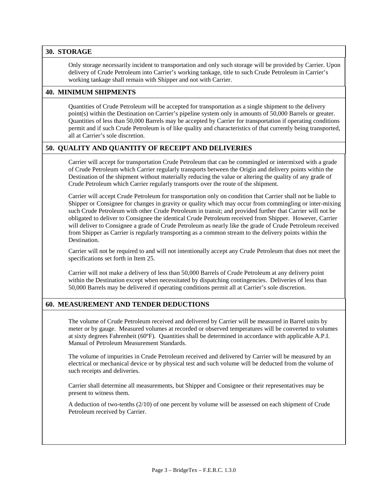#### **30. STORAGE**

Only storage necessarily incident to transportation and only such storage will be provided by Carrier. Upon delivery of Crude Petroleum into Carrier's working tankage, title to such Crude Petroleum in Carrier's working tankage shall remain with Shipper and not with Carrier.

#### **40. MINIMUM SHIPMENTS**

Quantities of Crude Petroleum will be accepted for transportation as a single shipment to the delivery point(s) within the Destination on Carrier's pipeline system only in amounts of 50,000 Barrels or greater. Quantities of less than 50,000 Barrels may be accepted by Carrier for transportation if operating conditions permit and if such Crude Petroleum is of like quality and characteristics of that currently being transported, all at Carrier's sole discretion.

#### **50. QUALITY AND QUANTITY OF RECEIPT AND DELIVERIES**

Carrier will accept for transportation Crude Petroleum that can be commingled or intermixed with a grade of Crude Petroleum which Carrier regularly transports between the Origin and delivery points within the Destination of the shipment without materially reducing the value or altering the quality of any grade of Crude Petroleum which Carrier regularly transports over the route of the shipment.

Carrier will accept Crude Petroleum for transportation only on condition that Carrier shall not be liable to Shipper or Consignee for changes in gravity or quality which may occur from commingling or inter-mixing such Crude Petroleum with other Crude Petroleum in transit; and provided further that Carrier will not be obligated to deliver to Consignee the identical Crude Petroleum received from Shipper. However, Carrier will deliver to Consignee a grade of Crude Petroleum as nearly like the grade of Crude Petroleum received from Shipper as Carrier is regularly transporting as a common stream to the delivery points within the **Destination** 

Carrier will not be required to and will not intentionally accept any Crude Petroleum that does not meet the specifications set forth in Item 25.

Carrier will not make a delivery of less than 50,000 Barrels of Crude Petroleum at any delivery point within the Destination except when necessitated by dispatching contingencies. Deliveries of less than 50,000 Barrels may be delivered if operating conditions permit all at Carrier's sole discretion.

#### **60. MEASUREMENT AND TENDER DEDUCTIONS**

The volume of Crude Petroleum received and delivered by Carrier will be measured in Barrel units by meter or by gauge. Measured volumes at recorded or observed temperatures will be converted to volumes at sixty degrees Fahrenheit (60ºF). Quantities shall be determined in accordance with applicable A.P.I. Manual of Petroleum Measurement Standards.

The volume of impurities in Crude Petroleum received and delivered by Carrier will be measured by an electrical or mechanical device or by physical test and such volume will be deducted from the volume of such receipts and deliveries.

Carrier shall determine all measurements, but Shipper and Consignee or their representatives may be present to witness them.

A deduction of two-tenths (2/10) of one percent by volume will be assessed on each shipment of Crude Petroleum received by Carrier.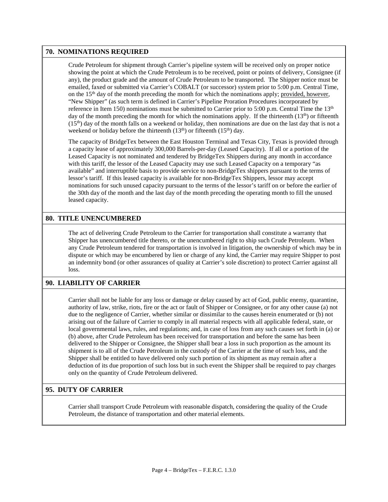#### **70. NOMINATIONS REQUIRED**

Crude Petroleum for shipment through Carrier's pipeline system will be received only on proper notice showing the point at which the Crude Petroleum is to be received, point or points of delivery, Consignee (if any), the product grade and the amount of Crude Petroleum to be transported. The Shipper notice must be emailed, faxed or submitted via Carrier's COBALT (or successor) system prior to 5:00 p.m. Central Time, on the 15<sup>th</sup> day of the month preceding the month for which the nominations apply; provided, however, "New Shipper" (as such term is defined in Carrier's Pipeline Proration Procedures incorporated by reference in Item 150) nominations must be submitted to Carrier prior to 5:00 p.m. Central Time the 13<sup>th</sup> day of the month preceding the month for which the nominations apply. If the thirteenth  $(13<sup>th</sup>)$  or fifteenth  $(15<sup>th</sup>)$  day of the month falls on a weekend or holiday, then nominations are due on the last day that is not a weekend or holiday before the thirteenth  $(13<sup>th</sup>)$  or fifteenth  $(15<sup>th</sup>)$  day.

The capacity of BridgeTex between the East Houston Terminal and Texas City, Texas is provided through a capacity lease of approximately 300,000 Barrels-per-day (Leased Capacity). If all or a portion of the Leased Capacity is not nominated and tendered by BridgeTex Shippers during any month in accordance with this tariff, the lessor of the Leased Capacity may use such Leased Capacity on a temporary "as available" and interruptible basis to provide service to non-BridgeTex shippers pursuant to the terms of lessor's tariff. If this leased capacity is available for non-BridgeTex Shippers, lessor may accept nominations for such unused capacity pursuant to the terms of the lessor's tariff on or before the earlier of the 30th day of the month and the last day of the month preceding the operating month to fill the unused leased capacity.

#### **80. TITLE UNENCUMBERED**

The act of delivering Crude Petroleum to the Carrier for transportation shall constitute a warranty that Shipper has unencumbered title thereto, or the unencumbered right to ship such Crude Petroleum. When any Crude Petroleum tendered for transportation is involved in litigation, the ownership of which may be in dispute or which may be encumbered by lien or charge of any kind, the Carrier may require Shipper to post an indemnity bond (or other assurances of quality at Carrier's sole discretion) to protect Carrier against all loss.

#### **90. LIABILITY OF CARRIER**

Carrier shall not be liable for any loss or damage or delay caused by act of God, public enemy, quarantine, authority of law, strike, riots, fire or the act or fault of Shipper or Consignee, or for any other cause (a) not due to the negligence of Carrier, whether similar or dissimilar to the causes herein enumerated or (b) not arising out of the failure of Carrier to comply in all material respects with all applicable federal, state, or local governmental laws, rules, and regulations; and, in case of loss from any such causes set forth in (a) or (b) above, after Crude Petroleum has been received for transportation and before the same has been delivered to the Shipper or Consignee, the Shipper shall bear a loss in such proportion as the amount its shipment is to all of the Crude Petroleum in the custody of the Carrier at the time of such loss, and the Shipper shall be entitled to have delivered only such portion of its shipment as may remain after a deduction of its due proportion of such loss but in such event the Shipper shall be required to pay charges only on the quantity of Crude Petroleum delivered.

#### **95. DUTY OF CARRIER**

Carrier shall transport Crude Petroleum with reasonable dispatch, considering the quality of the Crude Petroleum, the distance of transportation and other material elements.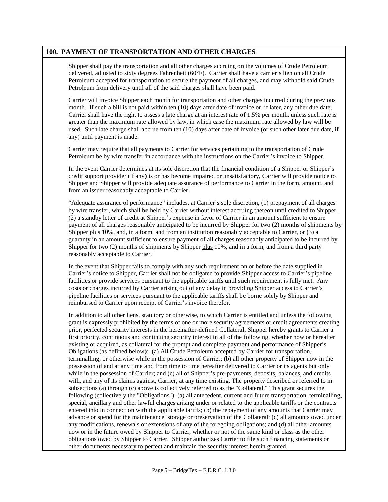#### **100. PAYMENT OF TRANSPORTATION AND OTHER CHARGES**

Shipper shall pay the transportation and all other charges accruing on the volumes of Crude Petroleum delivered, adjusted to sixty degrees Fahrenheit (60°F). Carrier shall have a carrier's lien on all Crude Petroleum accepted for transportation to secure the payment of all charges, and may withhold said Crude Petroleum from delivery until all of the said charges shall have been paid.

Carrier will invoice Shipper each month for transportation and other charges incurred during the previous month. If such a bill is not paid within ten (10) days after date of invoice or, if later, any other due date, Carrier shall have the right to assess a late charge at an interest rate of 1.5% per month, unless such rate is greater than the maximum rate allowed by law, in which case the maximum rate allowed by law will be used. Such late charge shall accrue from ten (10) days after date of invoice (or such other later due date, if any) until payment is made.

Carrier may require that all payments to Carrier for services pertaining to the transportation of Crude Petroleum be by wire transfer in accordance with the instructions on the Carrier's invoice to Shipper.

In the event Carrier determines at its sole discretion that the financial condition of a Shipper or Shipper's credit support provider (if any) is or has become impaired or unsatisfactory, Carrier will provide notice to Shipper and Shipper will provide adequate assurance of performance to Carrier in the form, amount, and from an issuer reasonably acceptable to Carrier.

"Adequate assurance of performance" includes, at Carrier's sole discretion, (1) prepayment of all charges by wire transfer, which shall be held by Carrier without interest accruing thereon until credited to Shipper, (2) a standby letter of credit at Shipper's expense in favor of Carrier in an amount sufficient to ensure payment of all charges reasonably anticipated to be incurred by Shipper for two (2) months of shipments by Shipper plus 10%, and, in a form, and from an institution reasonably acceptable to Carrier, or (3) a guaranty in an amount sufficient to ensure payment of all charges reasonably anticipated to be incurred by Shipper for two (2) months of shipments by Shipper plus 10%, and in a form, and from a third party reasonably acceptable to Carrier.

In the event that Shipper fails to comply with any such requirement on or before the date supplied in Carrier's notice to Shipper, Carrier shall not be obligated to provide Shipper access to Carrier's pipeline facilities or provide services pursuant to the applicable tariffs until such requirement is fully met. Any costs or charges incurred by Carrier arising out of any delay in providing Shipper access to Carrier's pipeline facilities or services pursuant to the applicable tariffs shall be borne solely by Shipper and reimbursed to Carrier upon receipt of Carrier's invoice therefor.

In addition to all other liens, statutory or otherwise, to which Carrier is entitled and unless the following grant is expressly prohibited by the terms of one or more security agreements or credit agreements creating prior, perfected security interests in the hereinafter-defined Collateral, Shipper hereby grants to Carrier a first priority, continuous and continuing security interest in all of the following, whether now or hereafter existing or acquired, as collateral for the prompt and complete payment and performance of Shipper's Obligations (as defined below): (a) All Crude Petroleum accepted by Carrier for transportation, terminalling, or otherwise while in the possession of Carrier; (b) all other property of Shipper now in the possession of and at any time and from time to time hereafter delivered to Carrier or its agents but only while in the possession of Carrier; and (c) all of Shipper's pre-payments, deposits, balances, and credits with, and any of its claims against, Carrier, at any time existing. The property described or referred to in subsections (a) through (c) above is collectively referred to as the "Collateral." This grant secures the following (collectively the "Obligations"): (a) all antecedent, current and future transportation, terminalling, special, ancillary and other lawful charges arising under or related to the applicable tariffs or the contracts entered into in connection with the applicable tariffs; (b) the repayment of any amounts that Carrier may advance or spend for the maintenance, storage or preservation of the Collateral; (c) all amounts owed under any modifications, renewals or extensions of any of the foregoing obligations; and (d) all other amounts now or in the future owed by Shipper to Carrier, whether or not of the same kind or class as the other obligations owed by Shipper to Carrier. Shipper authorizes Carrier to file such financing statements or other documents necessary to perfect and maintain the security interest herein granted.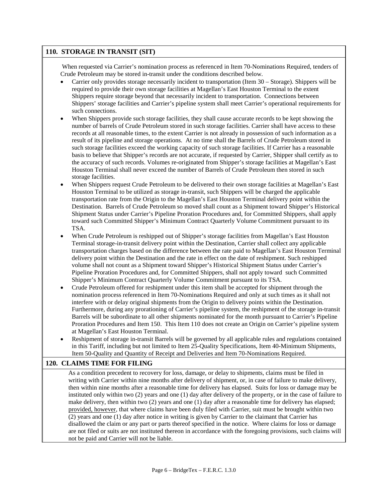#### **110. STORAGE IN TRANSIT (SIT)**

When requested via Carrier's nomination process as referenced in Item 70-Nominations Required, tenders of Crude Petroleum may be stored in-transit under the conditions described below.

- Carrier only provides storage necessarily incident to transportation (Item 30 Storage). Shippers will be required to provide their own storage facilities at Magellan's East Houston Terminal to the extent Shippers require storage beyond that necessarily incident to transportation. Connections between Shippers' storage facilities and Carrier's pipeline system shall meet Carrier's operational requirements for such connections.
- When Shippers provide such storage facilities, they shall cause accurate records to be kept showing the number of barrels of Crude Petroleum stored in such storage facilities. Carrier shall have access to these records at all reasonable times, to the extent Carrier is not already in possession of such information as a result of its pipeline and storage operations. At no time shall the Barrels of Crude Petroleum stored in such storage facilities exceed the working capacity of such storage facilities. If Carrier has a reasonable basis to believe that Shipper's records are not accurate, if requested by Carrier, Shipper shall certify as to the accuracy of such records. Volumes re-originated from Shipper's storage facilities at Magellan's East Houston Terminal shall never exceed the number of Barrels of Crude Petroleum then stored in such storage facilities.
- When Shippers request Crude Petroleum to be delivered to their own storage facilities at Magellan's East Houston Terminal to be utilized as storage in-transit, such Shippers will be charged the applicable transportation rate from the Origin to the Magellan's East Houston Terminal delivery point within the Destination. Barrels of Crude Petroleum so moved shall count as a Shipment toward Shipper's Historical Shipment Status under Carrier's Pipeline Proration Procedures and, for Committed Shippers, shall apply toward such Committed Shipper's Minimum Contract Quarterly Volume Commitment pursuant to its TSA.
- When Crude Petroleum is reshipped out of Shipper's storage facilities from Magellan's East Houston Terminal storage-in-transit delivery point within the Destination, Carrier shall collect any applicable transportation charges based on the difference between the rate paid to Magellan's East Houston Terminal delivery point within the Destination and the rate in effect on the date of reshipment. Such reshipped volume shall not count as a Shipment toward Shipper's Historical Shipment Status under Carrier's Pipeline Proration Procedures and, for Committed Shippers, shall not apply toward such Committed Shipper's Minimum Contract Quarterly Volume Commitment pursuant to its TSA.
- Crude Petroleum offered for reshipment under this item shall be accepted for shipment through the nomination process referenced in Item 70-Nominations Required and only at such times as it shall not interfere with or delay original shipments from the Origin to delivery points within the Destination. Furthermore, during any prorationing of Carrier's pipeline system, the reshipment of the storage in-transit Barrels will be subordinate to all other shipments nominated for the month pursuant to Carrier's Pipeline Proration Procedures and Item 150. This Item 110 does not create an Origin on Carrier's pipeline system at Magellan's East Houston Terminal.
- Reshipment of storage in-transit Barrels will be governed by all applicable rules and regulations contained in this Tariff, including but not limited to Item 25-Quality Specifications, Item 40-Minimum Shipments, Item 50-Quality and Quantity of Receipt and Deliveries and Item 70-Nominations Required.

#### **120. CLAIMS TIME FOR FILING**

As a condition precedent to recovery for loss, damage, or delay to shipments, claims must be filed in writing with Carrier within nine months after delivery of shipment, or, in case of failure to make delivery, then within nine months after a reasonable time for delivery has elapsed. Suits for loss or damage may be instituted only within two (2) years and one (1) day after delivery of the property, or in the case of failure to make delivery, then within two (2) years and one (1) day after a reasonable time for delivery has elapsed; provided, however, that where claims have been duly filed with Carrier, suit must be brought within two (2) years and one (1) day after notice in writing is given by Carrier to the claimant that Carrier has disallowed the claim or any part or parts thereof specified in the notice. Where claims for loss or damage are not filed or suits are not instituted thereon in accordance with the foregoing provisions, such claims will not be paid and Carrier will not be liable.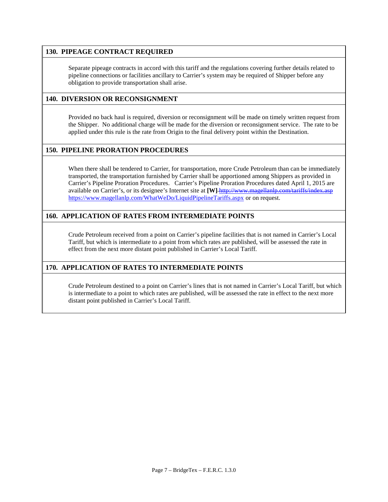#### **130. PIPEAGE CONTRACT REQUIRED**

Separate pipeage contracts in accord with this tariff and the regulations covering further details related to pipeline connections or facilities ancillary to Carrier's system may be required of Shipper before any obligation to provide transportation shall arise.

#### **140. DIVERSION OR RECONSIGNMENT**

Provided no back haul is required, diversion or reconsignment will be made on timely written request from the Shipper. No additional charge will be made for the diversion or reconsignment service. The rate to be applied under this rule is the rate from Origin to the final delivery point within the Destination.

#### **150. PIPELINE PRORATION PROCEDURES**

When there shall be tendered to Carrier, for transportation, more Crude Petroleum than can be immediately transported, the transportation furnished by Carrier shall be apportioned among Shippers as provided in Carrier's Pipeline Proration Procedures. Carrier's Pipeline Proration Procedures dated April 1, 2015 are available on Carrier's, or its designee's Internet site at **[W]** <http://www.magellanlp.com/tariffs/index.asp> <https://www.magellanlp.com/WhatWeDo/LiquidPipelineTariffs.aspx> or on request.

#### **160. APPLICATION OF RATES FROM INTERMEDIATE POINTS**

Crude Petroleum received from a point on Carrier's pipeline facilities that is not named in Carrier's Local Tariff, but which is intermediate to a point from which rates are published, will be assessed the rate in effect from the next more distant point published in Carrier's Local Tariff.

#### **170. APPLICATION OF RATES TO INTERMEDIATE POINTS**

Crude Petroleum destined to a point on Carrier's lines that is not named in Carrier's Local Tariff, but which is intermediate to a point to which rates are published, will be assessed the rate in effect to the next more distant point published in Carrier's Local Tariff.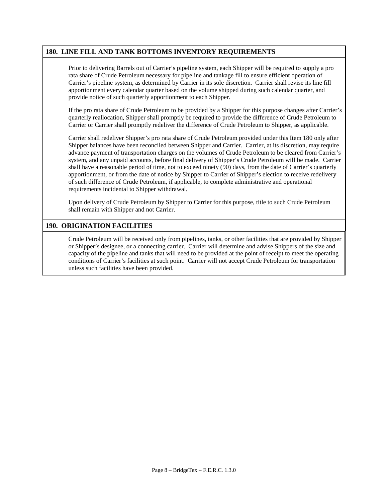#### **180. LINE FILL AND TANK BOTTOMS INVENTORY REQUIREMENTS**

Prior to delivering Barrels out of Carrier's pipeline system, each Shipper will be required to supply a pro rata share of Crude Petroleum necessary for pipeline and tankage fill to ensure efficient operation of Carrier's pipeline system, as determined by Carrier in its sole discretion. Carrier shall revise its line fill apportionment every calendar quarter based on the volume shipped during such calendar quarter, and provide notice of such quarterly apportionment to each Shipper.

If the pro rata share of Crude Petroleum to be provided by a Shipper for this purpose changes after Carrier's quarterly reallocation, Shipper shall promptly be required to provide the difference of Crude Petroleum to Carrier or Carrier shall promptly redeliver the difference of Crude Petroleum to Shipper, as applicable.

Carrier shall redeliver Shipper's pro rata share of Crude Petroleum provided under this Item 180 only after Shipper balances have been reconciled between Shipper and Carrier. Carrier, at its discretion, may require advance payment of transportation charges on the volumes of Crude Petroleum to be cleared from Carrier's system, and any unpaid accounts, before final delivery of Shipper's Crude Petroleum will be made. Carrier shall have a reasonable period of time, not to exceed ninety (90) days, from the date of Carrier's quarterly apportionment, or from the date of notice by Shipper to Carrier of Shipper's election to receive redelivery of such difference of Crude Petroleum, if applicable, to complete administrative and operational requirements incidental to Shipper withdrawal.

Upon delivery of Crude Petroleum by Shipper to Carrier for this purpose, title to such Crude Petroleum shall remain with Shipper and not Carrier.

#### **190. ORIGINATION FACILITIES**

Crude Petroleum will be received only from pipelines, tanks, or other facilities that are provided by Shipper or Shipper's designee, or a connecting carrier. Carrier will determine and advise Shippers of the size and capacity of the pipeline and tanks that will need to be provided at the point of receipt to meet the operating conditions of Carrier's facilities at such point. Carrier will not accept Crude Petroleum for transportation unless such facilities have been provided.